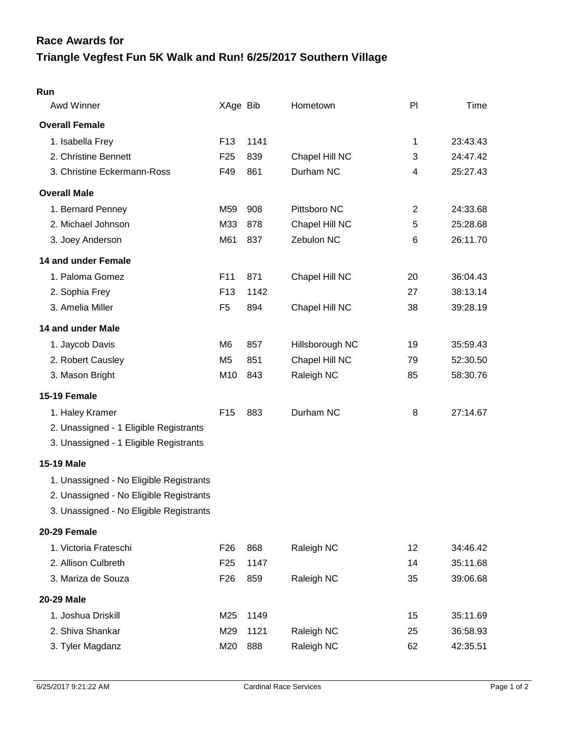## **Triangle Vegfest Fun 5K Walk and Run! 6/25/2017 Southern Village Race Awards for**

| Run                                     |                 |      |                 |                |          |
|-----------------------------------------|-----------------|------|-----------------|----------------|----------|
| Awd Winner                              | XAge Bib        |      | Hometown        | PI             | Time     |
| <b>Overall Female</b>                   |                 |      |                 |                |          |
| 1. Isabella Frey                        | F <sub>13</sub> | 1141 |                 | 1              | 23:43.43 |
| 2. Christine Bennett                    | F <sub>25</sub> | 839  | Chapel Hill NC  | 3              | 24:47.42 |
| 3. Christine Eckermann-Ross             | F49             | 861  | Durham NC       | 4              | 25:27.43 |
| <b>Overall Male</b>                     |                 |      |                 |                |          |
| 1. Bernard Penney                       | M59             | 908  | Pittsboro NC    | $\overline{c}$ | 24:33.68 |
| 2. Michael Johnson                      | M33             | 878  | Chapel Hill NC  | 5              | 25:28.68 |
| 3. Joey Anderson                        | M61             | 837  | Zebulon NC      | 6              | 26:11.70 |
| 14 and under Female                     |                 |      |                 |                |          |
| 1. Paloma Gomez                         | F11             | 871  | Chapel Hill NC  | 20             | 36:04.43 |
| 2. Sophia Frey                          | F <sub>13</sub> | 1142 |                 | 27             | 38:13.14 |
| 3. Amelia Miller                        | F <sub>5</sub>  | 894  | Chapel Hill NC  | 38             | 39:28.19 |
| 14 and under Male                       |                 |      |                 |                |          |
| 1. Jaycob Davis                         | M <sub>6</sub>  | 857  | Hillsborough NC | 19             | 35:59.43 |
| 2. Robert Causley                       | M <sub>5</sub>  | 851  | Chapel Hill NC  | 79             | 52:30.50 |
| 3. Mason Bright                         | M10             | 843  | Raleigh NC      | 85             | 58:30.76 |
| 15-19 Female                            |                 |      |                 |                |          |
| 1. Haley Kramer                         | F <sub>15</sub> | 883  | Durham NC       | 8              | 27:14.67 |
| 2. Unassigned - 1 Eligible Registrants  |                 |      |                 |                |          |
| 3. Unassigned - 1 Eligible Registrants  |                 |      |                 |                |          |
| <b>15-19 Male</b>                       |                 |      |                 |                |          |
| 1. Unassigned - No Eligible Registrants |                 |      |                 |                |          |
| 2. Unassigned - No Eligible Registrants |                 |      |                 |                |          |
| 3. Unassigned - No Eligible Registrants |                 |      |                 |                |          |
| 20-29 Female                            |                 |      |                 |                |          |
| 1. Victoria Frateschi                   | F <sub>26</sub> | 868  | Raleigh NC      | 12             | 34:46.42 |
| 2. Allison Culbreth                     | F <sub>25</sub> | 1147 |                 | 14             | 35:11.68 |
| 3. Mariza de Souza                      | F <sub>26</sub> | 859  | Raleigh NC      | 35             | 39:06.68 |
| 20-29 Male                              |                 |      |                 |                |          |
| 1. Joshua Driskill                      | M25             | 1149 |                 | 15             | 35:11.69 |
| 2. Shiva Shankar                        | M29             | 1121 | Raleigh NC      | 25             | 36:58.93 |
| 3. Tyler Magdanz                        | M20             | 888  | Raleigh NC      | 62             | 42:35.51 |